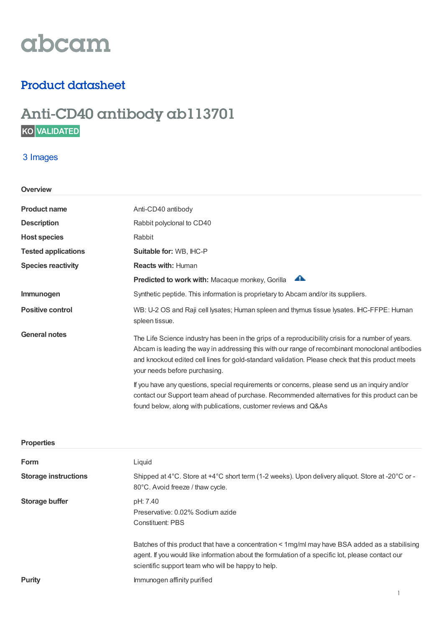# abcam

## Product datasheet

# Anti-CD40 antibody ab113701

### 3 Images

#### **Overview**

| <b>Product name</b>        | Anti-CD40 antibody                                                                                                                                                                                                                                                                                                                          |
|----------------------------|---------------------------------------------------------------------------------------------------------------------------------------------------------------------------------------------------------------------------------------------------------------------------------------------------------------------------------------------|
| <b>Description</b>         | Rabbit polyclonal to CD40                                                                                                                                                                                                                                                                                                                   |
| <b>Host species</b>        | Rabbit                                                                                                                                                                                                                                                                                                                                      |
| <b>Tested applications</b> | Suitable for: WB, IHC-P                                                                                                                                                                                                                                                                                                                     |
| <b>Species reactivity</b>  | <b>Reacts with: Human</b>                                                                                                                                                                                                                                                                                                                   |
|                            | ₳<br>Predicted to work with: Macaque monkey, Gorilla                                                                                                                                                                                                                                                                                        |
| Immunogen                  | Synthetic peptide. This information is proprietary to Abcam and/or its suppliers.                                                                                                                                                                                                                                                           |
| <b>Positive control</b>    | WB: U-2 OS and Raji cell lysates; Human spleen and thymus tissue lysates. IHC-FFPE: Human<br>spleen tissue.                                                                                                                                                                                                                                 |
| <b>General notes</b>       | The Life Science industry has been in the grips of a reproducibility crisis for a number of years.<br>Abcam is leading the way in addressing this with our range of recombinant monoclonal antibodies<br>and knockout edited cell lines for gold-standard validation. Please check that this product meets<br>your needs before purchasing. |
|                            | If you have any questions, special requirements or concerns, please send us an inquiry and/or<br>contact our Support team ahead of purchase. Recommended alternatives for this product can be<br>found below, along with publications, customer reviews and Q&As                                                                            |
| <b>Properties</b>          |                                                                                                                                                                                                                                                                                                                                             |

| <b>Form</b>                 | Liquid                                                                                                                                                                                                                                                   |
|-----------------------------|----------------------------------------------------------------------------------------------------------------------------------------------------------------------------------------------------------------------------------------------------------|
| <b>Storage instructions</b> | Shipped at 4°C. Store at +4°C short term (1-2 weeks). Upon delivery aliquot. Store at -20°C or -<br>80°C. Avoid freeze / thaw cycle.                                                                                                                     |
| Storage buffer              | pH: 7.40<br>Preservative: 0.02% Sodium azide<br><b>Constituent: PBS</b>                                                                                                                                                                                  |
|                             | Batches of this product that have a concentration < 1mg/ml may have BSA added as a stabilising<br>agent. If you would like information about the formulation of a specific lot, please contact our<br>scientific support team who will be happy to help. |
| <b>Purity</b>               | Immunogen affinity purified                                                                                                                                                                                                                              |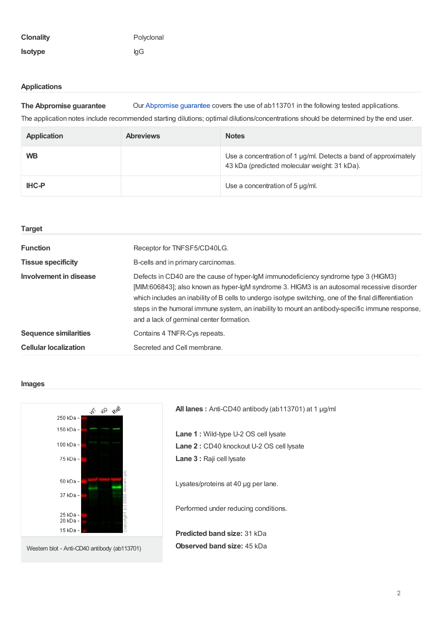| <b>Clonality</b> | Polyclonal |
|------------------|------------|
| <b>Isotype</b>   | laG        |

#### **Applications**

**The Abpromise guarantee** Our [Abpromise](https://www.abcam.com/abpromise) guarantee covers the use of ab113701 in the following tested applications.

The application notes include recommended starting dilutions; optimal dilutions/concentrations should be determined by the end user.

| <b>Application</b> | <b>Abreviews</b> | <b>Notes</b>                                                                                                    |
|--------------------|------------------|-----------------------------------------------------------------------------------------------------------------|
| <b>WB</b>          |                  | Use a concentration of 1 µg/ml. Detects a band of approximately<br>43 kDa (predicted molecular weight: 31 kDa). |
| <b>IHC-P</b>       |                  | Use a concentration of 5 µg/ml.                                                                                 |

| <b>Target</b>                |                                                                                                                                                                                                                                                                                                                                                                                                                                           |
|------------------------------|-------------------------------------------------------------------------------------------------------------------------------------------------------------------------------------------------------------------------------------------------------------------------------------------------------------------------------------------------------------------------------------------------------------------------------------------|
| <b>Function</b>              | Receptor for TNFSF5/CD40LG.                                                                                                                                                                                                                                                                                                                                                                                                               |
| <b>Tissue specificity</b>    | B-cells and in primary carcinomas.                                                                                                                                                                                                                                                                                                                                                                                                        |
| Involvement in disease       | Defects in CD40 are the cause of hyper-lgM immunodeficiency syndrome type 3 (HIGM3)<br>[MIM:606843]; also known as hyper-IgM syndrome 3. HIGM3 is an autosomal recessive disorder<br>which includes an inability of B cells to undergo isotype switching, one of the final differentiation<br>steps in the humoral immune system, an inability to mount an antibody-specific immune response,<br>and a lack of germinal center formation. |
| <b>Sequence similarities</b> | Contains 4 TNFR-Cys repeats.                                                                                                                                                                                                                                                                                                                                                                                                              |
| <b>Cellular localization</b> | Secreted and Cell membrane.                                                                                                                                                                                                                                                                                                                                                                                                               |

#### **Images**



**All lanes :** Anti-CD40 antibody (ab113701) at 1 µg/ml

**Lane 1 :** Wild-type U-2 OS cell lysate **Lane 2 :** CD40 knockout U-2 OS cell lysate **Lane 3 :** Raji cell lysate

Lysates/proteins at 40 µg per lane.

Performed under reducing conditions.

**Predicted band size:** 31 kDa **Observed band size:** 45 kDa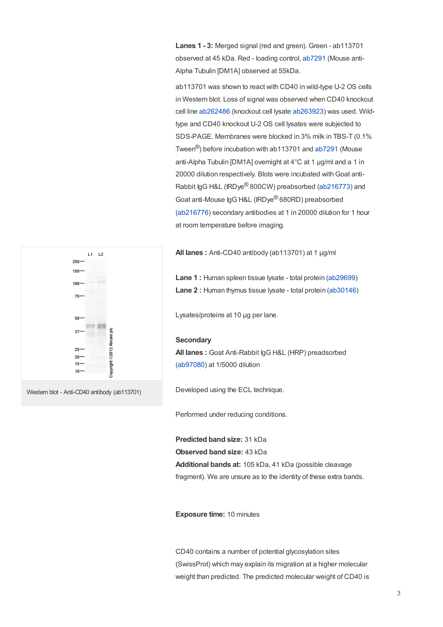**Lanes 1 - 3:** Merged signal (red and green). Green - ab113701 observed at 45 kDa. Red - loading control, [ab7291](https://www.abcam.com/ab7291.html) (Mouse anti-Alpha Tubulin [DM1A] observed at 55kDa.

ab113701 was shown to react with CD40 in wild-type U-2 OS cells in Western blot. Loss of signal was observed when CD40 knockout cell line [ab262486](https://www.abcam.com/ab262486.html) (knockout cell lysate [ab263923](https://www.abcam.com/ab263923.html)) was used. Wildtype and CD40 knockout U-2 OS cell lysates were subjected to SDS-PAGE. Membranes were blocked in 3% milk in TBS-T (0.1% Tween<sup>®</sup>) before incubation with ab113701 and [ab7291](https://www.abcam.com/ab7291.html) (Mouse anti-Alpha Tubulin [DM1A] overnight at 4°C at 1 ug/ml and a 1 in 20000 dilution respectively. Blots were incubated with Goat anti-Rabbit IgG H&L (IRDye® 800CW) preabsorbed [\(ab216773](https://www.abcam.com/ab216773.html)) and Goat anti-Mouse IgG H&L (IRDye® 680RD) preabsorbed ([ab216776](https://www.abcam.com/ab216776.html)) secondary antibodies at 1 in 20000 dilution for 1 hour at room temperature before imaging.

**All lanes :** Anti-CD40 antibody (ab113701) at 1 µg/ml

**Lane 1 :** Human spleen tissue lysate - total protein [\(ab29699](https://www.abcam.com/ab29699.html)) **Lane 2 :** Human thymus tissue lysate - total protein [\(ab30146](https://www.abcam.com/ab30146.html))

Lysates/proteins at 10 µg per lane.

#### **Secondary**

**All lanes :** Goat Anti-Rabbit IgG H&L (HRP) preadsorbed ([ab97080](https://www.abcam.com/ab97080.html)) at 1/5000 dilution

Developed using the ECL technique.

Performed under reducing conditions.

**Predicted band size:** 31 kDa **Observed band size:** 43 kDa **Additional bands at:** 105 kDa, 41 kDa (possible cleavage fragment). We are unsure as to the identity of these extra bands.

**Exposure time:** 10 minutes

CD40 contains a number of potential glycosylation sites (SwissProt) which may explain its migration at a higher molecular weight than predicted. The predicted molecular weight of CD40 is



Western blot - Anti-CD40 antibody (ab113701)